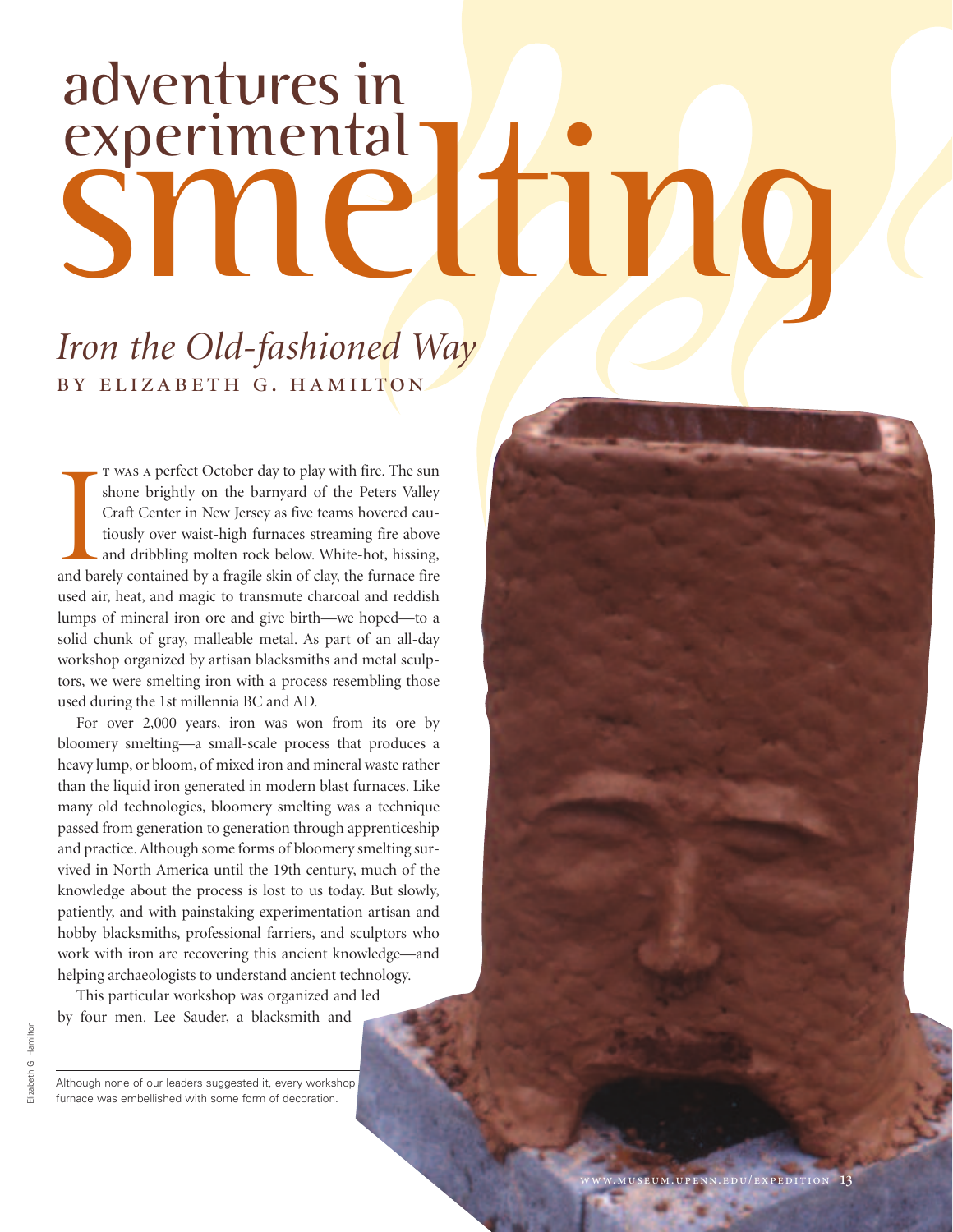# adventures in experimental<br>SMAC smelting

## *Iron the Old-fashioned Way* by elizabeth g. hamilton

T was a perfect October day to play with fire. The sun shone brightly on the barnyard of the Peters Valley Craft Center in New Jersey as five teams hovered cautiously over waist-high furnaces streaming fire above and dribb t was a perfect October day to play with fire. The sun shone brightly on the barnyard of the Peters Valley Craft Center in New Jersey as five teams hovered cautiously over waist-high furnaces streaming fire above and dribbling molten rock below. White-hot, hissing, used air, heat, and magic to transmute charcoal and reddish lumps of mineral iron ore and give birth—we hoped—to a solid chunk of gray, malleable metal. As part of an all-day workshop organized by artisan blacksmiths and metal sculptors, we were smelting iron with a process resembling those used during the 1st millennia BC and AD.

For over 2,000 years, iron was won from its ore by bloomery smelting—a small-scale process that produces a heavy lump, or bloom, of mixed iron and mineral waste rather than the liquid iron generated in modern blast furnaces. Like many old technologies, bloomery smelting was a technique passed from generation to generation through apprenticeship and practice.Although some forms of bloomery smelting survived in North America until the 19th century, much of the knowledge about the process is lost to us today. But slowly, patiently, and with painstaking experimentation artisan and hobby blacksmiths, professional farriers, and sculptors who work with iron are recovering this ancient knowledge—and helping archaeologists to understand ancient technology.

This particular workshop was organized and led by four men. Lee Sauder, a blacksmith and

Although none of our leaders suggested it, every workshop furnace was embellished with some form of decoration.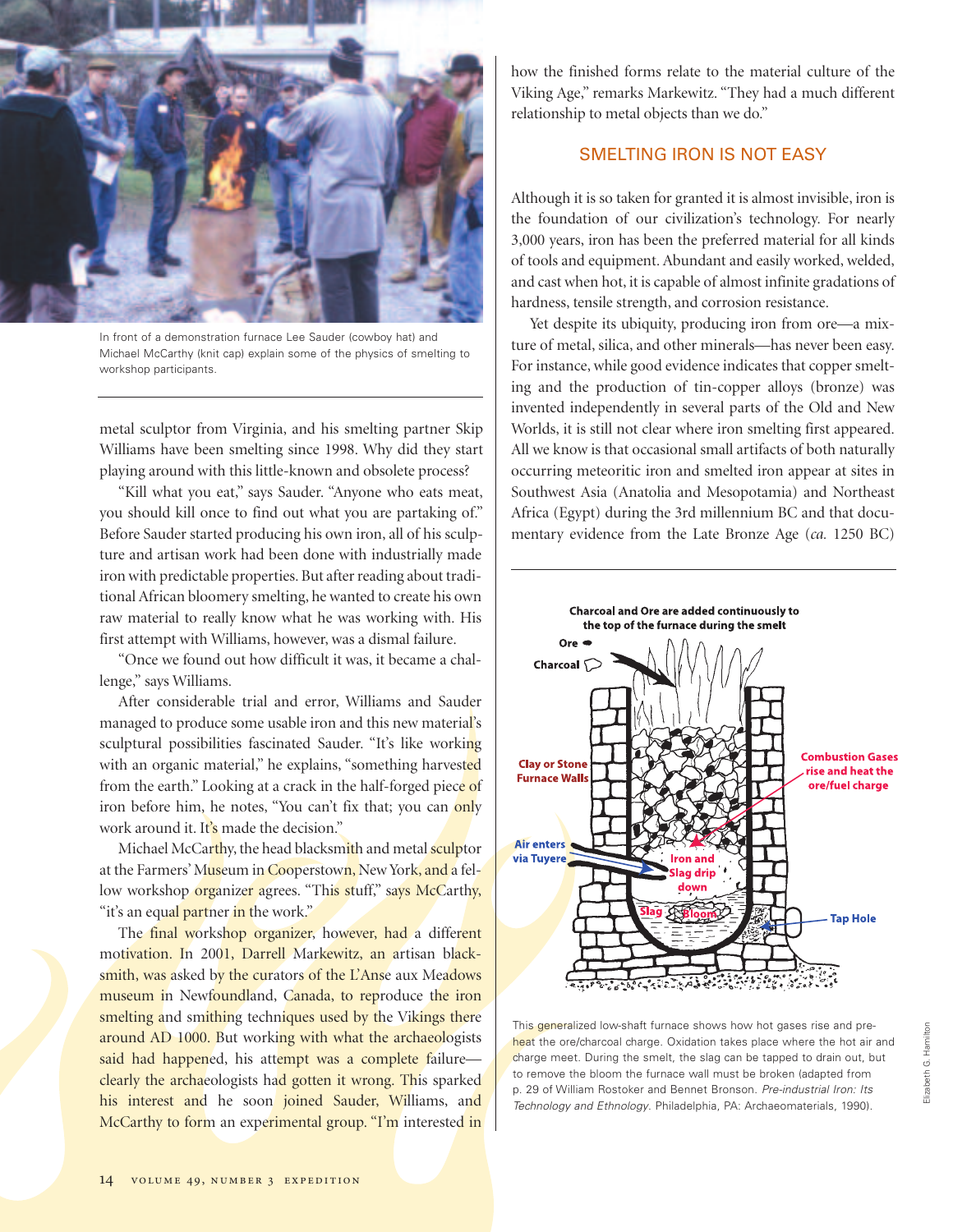

In front of a demonstration furnace Lee Sauder (cowboy hat) and Michael McCarthy (knit cap) explain some of the physics of smelting to workshop participants.

metal sculptor from Virginia, and his smelting partner Skip Williams have been smelting since 1998. Why did they start playing around with this little-known and obsolete process?

"Kill what you eat," says Sauder. "Anyone who eats meat, you should kill once to find out what you are partaking of." Before Sauder started producing his own iron, all of his sculpture and artisan work had been done with industrially made iron with predictable properties. But after reading about traditional African bloomery smelting, he wanted to create his own raw material to really know what he was working with. His first attempt with Williams, however, was a dismal failure.

"Once we found out how difficult it was, it became a challenge," says Williams.

After considerable trial and error, Williams and Sauder managed to produce some usable iron and this new material's sculptural possibilities fascinated Sauder. "It's like working with an organic material," he explains, "something harvested from the earth." Looking at a crack in the half-forged piece of iron before him, he notes, "You can't fix that; you can only work around it. It's made the decision."

Michael McCarthy, the head blacksmith and metal sculptor at the Farmers' Museum in Cooperstown, New York, and a fellow workshop organizer agrees. "This stuff," says McCarthy, "it's an equal partner in the work."

The final workshop organizer, however, had a different motivation. In 2001, Darrell Markewitz, an artisan blacksmith, was asked by the curators of the L'Anse aux Meadows museum in Newfoundland, Canada, to reproduce the iron smelting and smithing techniques used by the Vikings there around AD 1000. But working with what the archaeologists said had happened, his attempt was a complete failureclearly the archaeologists had gotten it wrong. This sparked his interest and he soon joined Sauder, Williams, and McCarthy to form an experimental group. "I'm interested in

how the finished forms relate to the material culture of the Viking Age," remarks Markewitz. "They had a much different relationship to metal objects than we do."

### SMELTING IRON IS NOT EASY

Although it is so taken for granted it is almost invisible, iron is the foundation of our civilization's technology. For nearly 3,000 years, iron has been the preferred material for all kinds of tools and equipment. Abundant and easily worked, welded, and cast when hot, it is capable of almost infinite gradations of hardness, tensile strength, and corrosion resistance.

Yet despite its ubiquity, producing iron from ore—a mixture of metal, silica, and other minerals—has never been easy. For instance, while good evidence indicates that copper smelting and the production of tin-copper alloys (bronze) was invented independently in several parts of the Old and New Worlds, it is still not clear where iron smelting first appeared. All we know is that occasional small artifacts of both naturally occurring meteoritic iron and smelted iron appear at sites in Southwest Asia (Anatolia and Mesopotamia) and Northeast Africa (Egypt) during the 3rd millennium BC and that documentary evidence from the Late Bronze Age (*ca.* 1250 BC)



This generalized low-shaft furnace shows how hot gases rise and preheat the ore/charcoal charge. Oxidation takes place where the hot air and charge meet. During the smelt, the slag can be tapped to drain out, but to remove the bloom the furnace wall must be broken (adapted from p. 29 of William Rostoker and Bennet Bronson. *Pre-industrial Iron: Its Technology and Ethnology*. Philadelphia, PA: Archaeomaterials, 1990).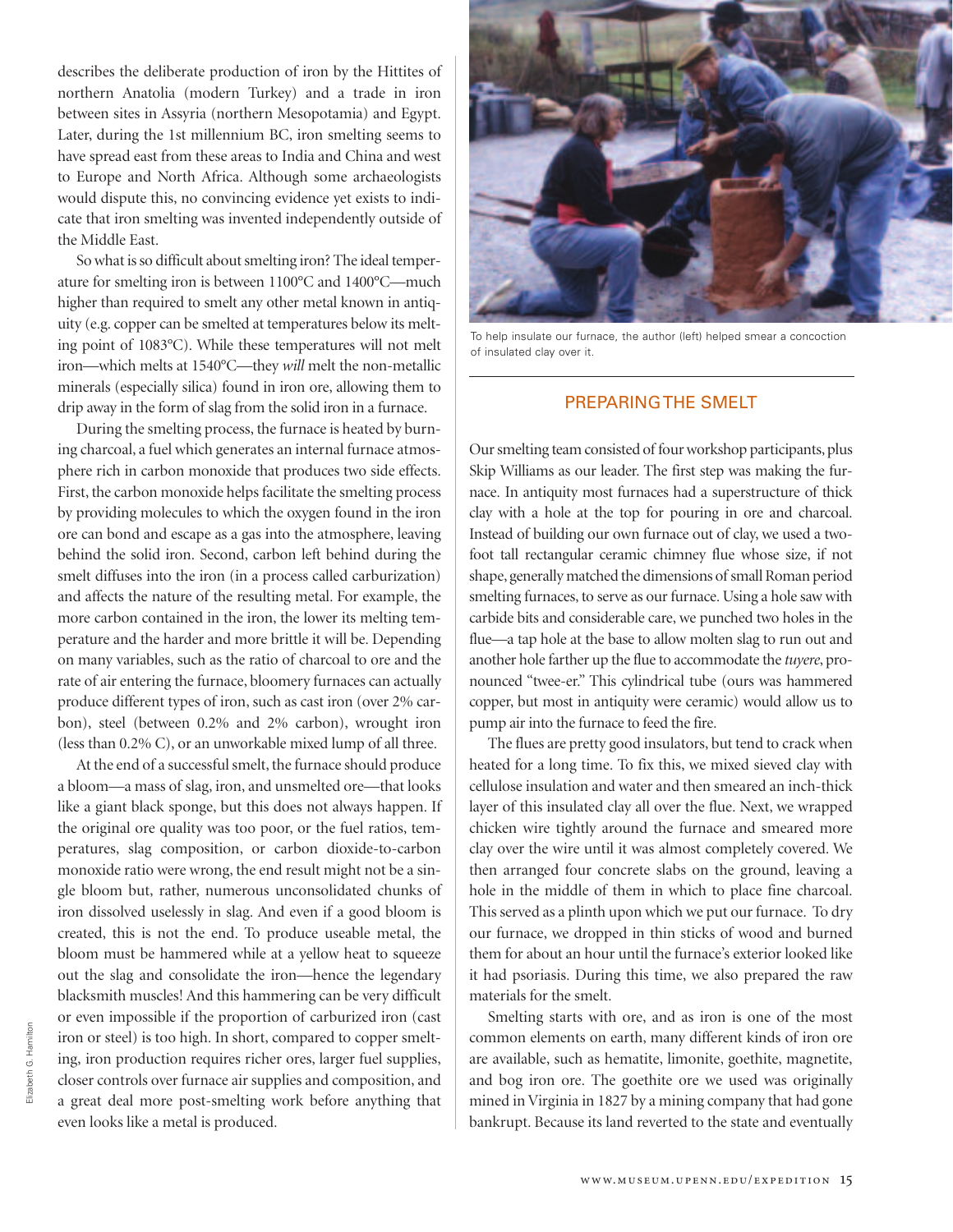describes the deliberate production of iron by the Hittites of northern Anatolia (modern Turkey) and a trade in iron between sites in Assyria (northern Mesopotamia) and Egypt. Later, during the 1st millennium BC, iron smelting seems to have spread east from these areas to India and China and west to Europe and North Africa. Although some archaeologists would dispute this, no convincing evidence yet exists to indicate that iron smelting was invented independently outside of the Middle East.

So what is so difficult about smelting iron? The ideal temperature for smelting iron is between 1100°C and 1400°C—much higher than required to smelt any other metal known in antiquity (e.g. copper can be smelted at temperatures below its melting point of 1083°C). While these temperatures will not melt iron—which melts at 1540°C—they *will* melt the non-metallic minerals (especially silica) found in iron ore, allowing them to drip away in the form of slag from the solid iron in a furnace.

During the smelting process, the furnace is heated by burning charcoal, a fuel which generates an internal furnace atmosphere rich in carbon monoxide that produces two side effects. First, the carbon monoxide helps facilitate the smelting process by providing molecules to which the oxygen found in the iron ore can bond and escape as a gas into the atmosphere, leaving behind the solid iron. Second, carbon left behind during the smelt diffuses into the iron (in a process called carburization) and affects the nature of the resulting metal. For example, the more carbon contained in the iron, the lower its melting temperature and the harder and more brittle it will be. Depending on many variables, such as the ratio of charcoal to ore and the rate of air entering the furnace, bloomery furnaces can actually produce different types of iron, such as cast iron (over 2% carbon), steel (between 0.2% and 2% carbon), wrought iron (less than 0.2% C), or an unworkable mixed lump of all three.

At the end of a successful smelt, the furnace should produce a bloom—a mass of slag, iron, and unsmelted ore—that looks like a giant black sponge, but this does not always happen. If the original ore quality was too poor, or the fuel ratios, temperatures, slag composition, or carbon dioxide-to-carbon monoxide ratio were wrong, the end result might not be a single bloom but, rather, numerous unconsolidated chunks of iron dissolved uselessly in slag. And even if a good bloom is created, this is not the end. To produce useable metal, the bloom must be hammered while at a yellow heat to squeeze out the slag and consolidate the iron—hence the legendary blacksmith muscles! And this hammering can be very difficult or even impossible if the proportion of carburized iron (cast iron or steel) is too high. In short, compared to copper smelting, iron production requires richer ores, larger fuel supplies, closer controls over furnace air supplies and composition, and a great deal more post-smelting work before anything that even looks like a metal is produced.



To help insulate our furnace, the author (left) helped smear a concoction of insulated clay over it.

#### PREPARINGTHE SMELT

Our smelting team consisted of four workshop participants, plus Skip Williams as our leader. The first step was making the furnace. In antiquity most furnaces had a superstructure of thick clay with a hole at the top for pouring in ore and charcoal. Instead of building our own furnace out of clay, we used a twofoot tall rectangular ceramic chimney flue whose size, if not shape, generally matched the dimensions of small Roman period smelting furnaces, to serve as our furnace. Using a hole saw with carbide bits and considerable care, we punched two holes in the flue—a tap hole at the base to allow molten slag to run out and another hole farther up the flue to accommodate the *tuyere*, pronounced "twee-er." This cylindrical tube (ours was hammered copper, but most in antiquity were ceramic) would allow us to pump air into the furnace to feed the fire.

The flues are pretty good insulators, but tend to crack when heated for a long time. To fix this, we mixed sieved clay with cellulose insulation and water and then smeared an inch-thick layer of this insulated clay all over the flue. Next, we wrapped chicken wire tightly around the furnace and smeared more clay over the wire until it was almost completely covered. We then arranged four concrete slabs on the ground, leaving a hole in the middle of them in which to place fine charcoal. This served as a plinth upon which we put our furnace. To dry our furnace, we dropped in thin sticks of wood and burned them for about an hour until the furnace's exterior looked like it had psoriasis. During this time, we also prepared the raw materials for the smelt.

Smelting starts with ore, and as iron is one of the most common elements on earth, many different kinds of iron ore are available, such as hematite, limonite, goethite, magnetite, and bog iron ore. The goethite ore we used was originally mined inVirginia in 1827 by a mining company that had gone bankrupt. Because its land reverted to the state and eventually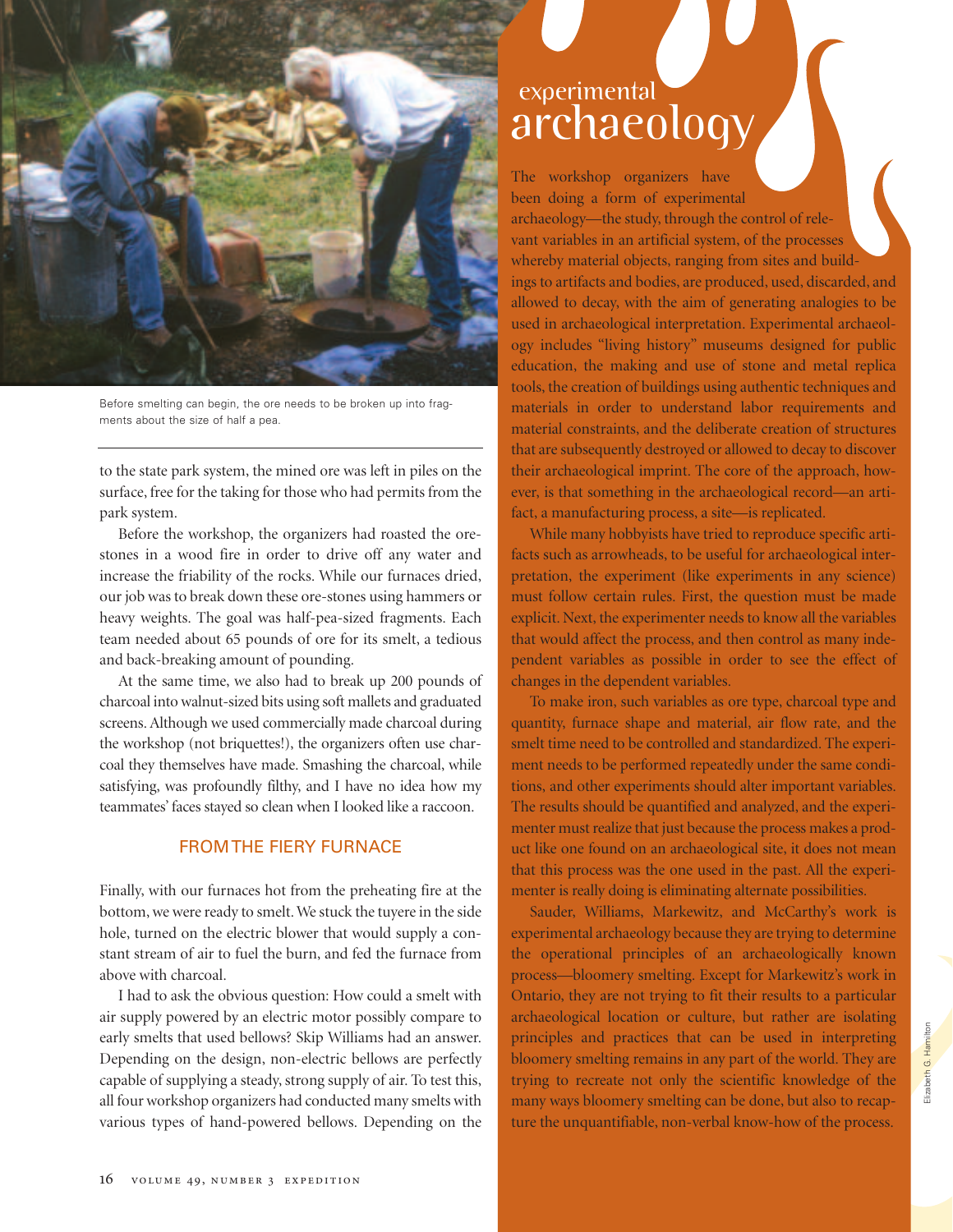

Before smelting can begin, the ore needs to be broken up into fragments about the size of half a pea.

to the state park system, the mined ore was left in piles on the surface, free for the taking for those who had permits from the park system.

Before the workshop, the organizers had roasted the orestones in a wood fire in order to drive off any water and increase the friability of the rocks. While our furnaces dried, our job was to break down these ore-stones using hammers or heavy weights. The goal was half-pea-sized fragments. Each team needed about 65 pounds of ore for its smelt, a tedious and back-breaking amount of pounding.

At the same time, we also had to break up 200 pounds of charcoal into walnut-sized bits using soft mallets and graduated screens.Although we used commercially made charcoal during the workshop (not briquettes!), the organizers often use charcoal they themselves have made. Smashing the charcoal, while satisfying, was profoundly filthy, and I have no idea how my teammates' faces stayed so clean when I looked like a raccoon.

#### FROMTHE FIERY FURNACE

Finally, with our furnaces hot from the preheating fire at the bottom, we were ready to smelt. We stuck the tuyere in the side hole, turned on the electric blower that would supply a constant stream of air to fuel the burn, and fed the furnace from above with charcoal.

I had to ask the obvious question: How could a smelt with air supply powered by an electric motor possibly compare to early smelts that used bellows? Skip Williams had an answer. Depending on the design, non-electric bellows are perfectly capable of supplying a steady, strong supply of air. To test this, all four workshop organizers had conducted many smelts with various types of hand-powered bellows. Depending on the

# archaeology experimental

The workshop organizers have been doing a form of experimental archaeology—the study, through the control of relevant variables in an artificial system, of the processes whereby material objects, ranging from sites and buildings to artifacts and bodies, are produced, used, discarded, and allowed to decay, with the aim of generating analogies to be used in archaeological interpretation. Experimental archaeology includes "living history" museums designed for public education, the making and use of stone and metal replica tools, the creation of buildings using authentic techniques and materials in order to understand labor requirements and material constraints, and the deliberate creation of structures that are subsequently destroyed or allowed to decay to discover their archaeological imprint. The core of the approach, however, is that something in the archaeological record—an artifact, a manufacturing process, a site—is replicated.

While many hobbyists have tried to reproduce specific artifacts such as arrowheads, to be useful for archaeological interpretation, the experiment (like experiments in any science) must follow certain rules. First, the question must be made explicit. Next, the experimenter needs to know all the variables that would affect the process, and then control as many independent variables as possible in order to see the effect of changes in the dependent variables.

To make iron, such variables as ore type, charcoal type and quantity, furnace shape and material, air flow rate, and the smelt time need to be controlled and standardized. The experiment needs to be performed repeatedly under the same conditions, and other experiments should alter important variables. The results should be quantified and analyzed, and the experimenter must realize that just because the process makes a product like one found on an archaeological site, it does not mean that this process was the one used in the past. All the experimenter is really doing is eliminating alternate possibilities.

Sauder, Williams, Markewitz, and McCarthy's work is experimental archaeology because they are trying to determine the operational principles of an archaeologically known process—bloomery smelting. Except for Markewitz's work in Ontario, they are not trying to fit their results to a particular archaeological location or culture, but rather are isolating principles and practices that can be used in interpreting bloomery smelting remains in any part of the world. They are trying to recreate not only the scientific knowledge of the many ways bloomery smelting can be done, but also to recapture the unquantifiable, non-verbal know-how of the process.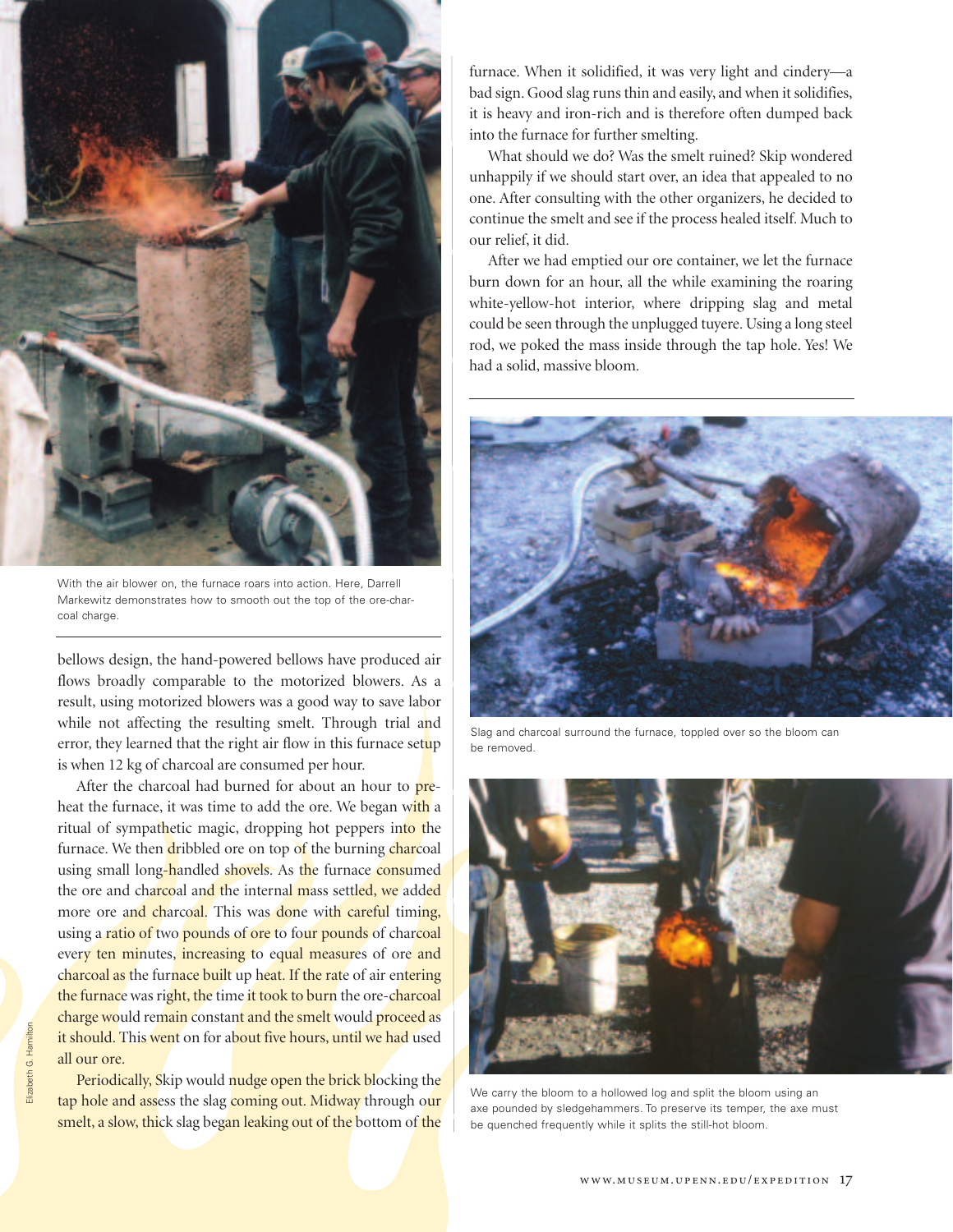

With the air blower on, the furnace roars into action. Here, Darrell Markewitz demonstrates how to smooth out the top of the ore-charcoal charge.

bellows design, the hand-powered bellows have produced air flows broadly comparable to the motorized blowers. As a result, using motorized blowers was a good way to save labor while not affecting the resulting smelt. Through trial and error, they learned that the right air flow in this furnace setup is when 12 kg of charcoal are consumed per hour.

After the charcoal had burned for about an hour to preheat the furnace, it was time to add the ore. We began with a ritual of sympathetic magic, dropping hot peppers into the furnace. We then dribbled ore on top of the burning charcoal using small long-handled shovels. As the furnace consumed the ore and charcoal and the internal mass settled, we added more ore and charcoal. This was done with careful timing, using a ratio of two pounds of ore to four pounds of charcoal every ten minutes, increasing to equal measures of ore and charcoal as the furnace built up heat. If the rate of air entering the furnace was right, the time it took to burn the ore-charcoal charge would remain constant and the smelt would proceed as it should. This went on for about five hours, until we had used all our ore.

Periodically, Skip would nudge open the brick blocking the tap hole and assess the slag coming out. Midway through our smelt, a slow, thick slag began leaking out of the bottom of the furnace. When it solidified, it was very light and cindery—a bad sign. Good slag runs thin and easily, and when it solidifies, it is heavy and iron-rich and is therefore often dumped back into the furnace for further smelting.

What should we do? Was the smelt ruined? Skip wondered unhappily if we should start over, an idea that appealed to no one. After consulting with the other organizers, he decided to continue the smelt and see if the process healed itself. Much to our relief, it did.

After we had emptied our ore container, we let the furnace burn down for an hour, all the while examining the roaring white-yellow-hot interior, where dripping slag and metal could be seen through the unplugged tuyere. Using a long steel rod, we poked the mass inside through the tap hole. Yes! We had a solid, massive bloom.



Slag and charcoal surround the furnace, toppled over so the bloom can be removed.



We carry the bloom to a hollowed log and split the bloom using an axe pounded by sledgehammers. To preserve its temper, the axe must be quenched frequently while it splits the still-hot bloom.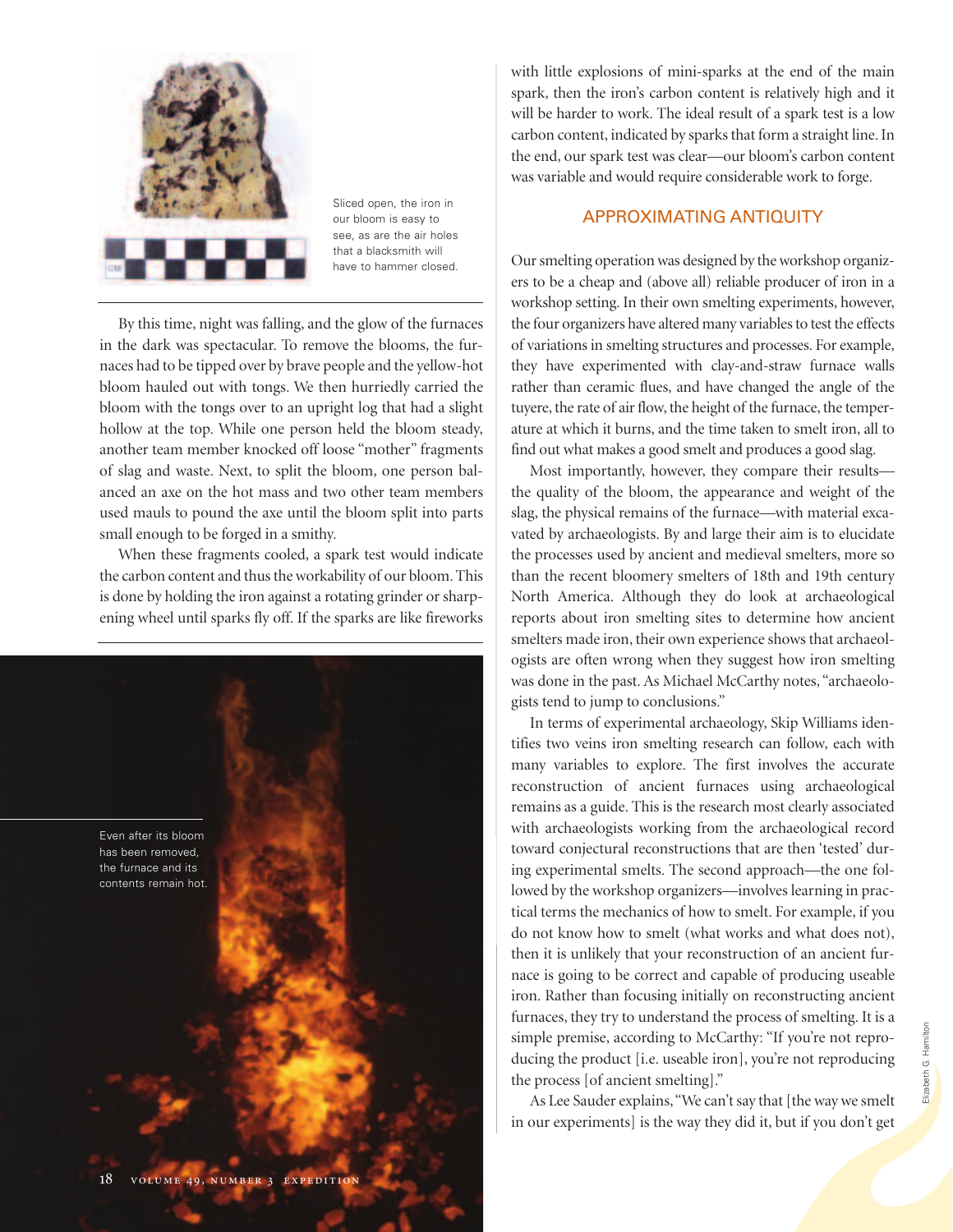

Sliced open, the iron in our bloom is easy to see, as are the air holes that a blacksmith will have to hammer closed.

By this time, night was falling, and the glow of the furnaces in the dark was spectacular. To remove the blooms, the furnaces had to be tipped over by brave people and the yellow-hot bloom hauled out with tongs. We then hurriedly carried the bloom with the tongs over to an upright log that had a slight hollow at the top. While one person held the bloom steady, another team member knocked off loose "mother" fragments of slag and waste. Next, to split the bloom, one person balanced an axe on the hot mass and two other team members used mauls to pound the axe until the bloom split into parts small enough to be forged in a smithy.

When these fragments cooled, a spark test would indicate the carbon content and thus the workability of our bloom. This is done by holding the iron against a rotating grinder or sharpening wheel until sparks fly off. If the sparks are like fireworks



with little explosions of mini-sparks at the end of the main spark, then the iron's carbon content is relatively high and it will be harder to work. The ideal result of a spark test is a low carbon content, indicated by sparks that form a straight line.In the end, our spark test was clear—our bloom's carbon content was variable and would require considerable work to forge.

## APPROXIMATING ANTIQUITY

Our smelting operation was designed by the workshop organizers to be a cheap and (above all) reliable producer of iron in a workshop setting. In their own smelting experiments, however, the four organizers have altered many variables to test the effects of variations in smelting structures and processes. For example, they have experimented with clay-and-straw furnace walls rather than ceramic flues, and have changed the angle of the tuyere, the rate of air flow, the height of the furnace, the temperature at which it burns, and the time taken to smelt iron, all to find out what makes a good smelt and produces a good slag.

Most importantly, however, they compare their results the quality of the bloom, the appearance and weight of the slag, the physical remains of the furnace—with material excavated by archaeologists. By and large their aim is to elucidate the processes used by ancient and medieval smelters, more so than the recent bloomery smelters of 18th and 19th century North America. Although they do look at archaeological reports about iron smelting sites to determine how ancient smelters made iron, their own experience shows that archaeologists are often wrong when they suggest how iron smelting was done in the past. As Michael McCarthy notes, "archaeologists tend to jump to conclusions."

In terms of experimental archaeology, Skip Williams identifies two veins iron smelting research can follow, each with many variables to explore. The first involves the accurate reconstruction of ancient furnaces using archaeological remains as a guide. This is the research most clearly associated with archaeologists working from the archaeological record toward conjectural reconstructions that are then 'tested' during experimental smelts. The second approach—the one followed by the workshop organizers—involves learning in practical terms the mechanics of how to smelt. For example, if you do not know how to smelt (what works and what does not), then it is unlikely that your reconstruction of an ancient furnace is going to be correct and capable of producing useable iron. Rather than focusing initially on reconstructing ancient furnaces, they try to understand the process of smelting. It is a simple premise, according to McCarthy: "If you're not reproducing the product [i.e. useable iron], you're not reproducing the process [of ancient smelting]."

As Lee Sauder explains,"We can't say that [the way we smelt in our experiments] is the way they did it, but if you don't get